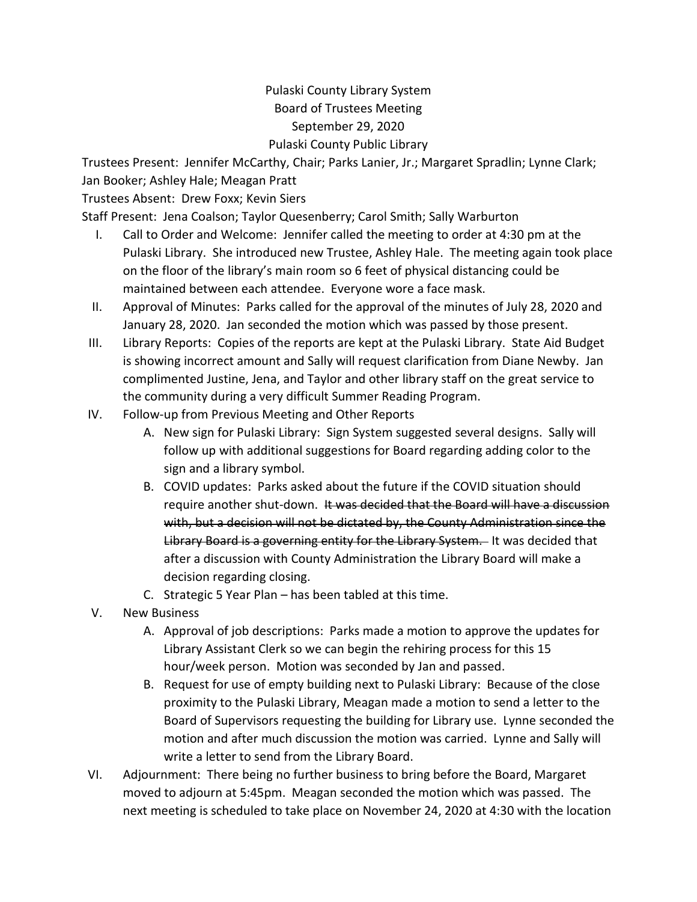## Pulaski County Library System Board of Trustees Meeting September 29, 2020 Pulaski County Public Library

Trustees Present: Jennifer McCarthy, Chair; Parks Lanier, Jr.; Margaret Spradlin; Lynne Clark; Jan Booker; Ashley Hale; Meagan Pratt

Trustees Absent: Drew Foxx; Kevin Siers

Staff Present: Jena Coalson; Taylor Quesenberry; Carol Smith; Sally Warburton

- I. Call to Order and Welcome: Jennifer called the meeting to order at 4:30 pm at the Pulaski Library. She introduced new Trustee, Ashley Hale. The meeting again took place on the floor of the library's main room so 6 feet of physical distancing could be maintained between each attendee. Everyone wore a face mask.
- II. Approval of Minutes: Parks called for the approval of the minutes of July 28, 2020 and January 28, 2020. Jan seconded the motion which was passed by those present.
- III. Library Reports: Copies of the reports are kept at the Pulaski Library. State Aid Budget is showing incorrect amount and Sally will request clarification from Diane Newby. Jan complimented Justine, Jena, and Taylor and other library staff on the great service to the community during a very difficult Summer Reading Program.
- IV. Follow-up from Previous Meeting and Other Reports
	- A. New sign for Pulaski Library: Sign System suggested several designs. Sally will follow up with additional suggestions for Board regarding adding color to the sign and a library symbol.
	- B. COVID updates: Parks asked about the future if the COVID situation should require another shut-down. It was decided that the Board will have a discussion with, but a decision will not be dictated by, the County Administration since the Library Board is a governing entity for the Library System. It was decided that after a discussion with County Administration the Library Board will make a decision regarding closing.
	- C. Strategic 5 Year Plan has been tabled at this time.
- V. New Business
	- A. Approval of job descriptions: Parks made a motion to approve the updates for Library Assistant Clerk so we can begin the rehiring process for this 15 hour/week person. Motion was seconded by Jan and passed.
	- B. Request for use of empty building next to Pulaski Library: Because of the close proximity to the Pulaski Library, Meagan made a motion to send a letter to the Board of Supervisors requesting the building for Library use. Lynne seconded the motion and after much discussion the motion was carried. Lynne and Sally will write a letter to send from the Library Board.
- VI. Adjournment: There being no further business to bring before the Board, Margaret moved to adjourn at 5:45pm. Meagan seconded the motion which was passed. The next meeting is scheduled to take place on November 24, 2020 at 4:30 with the location